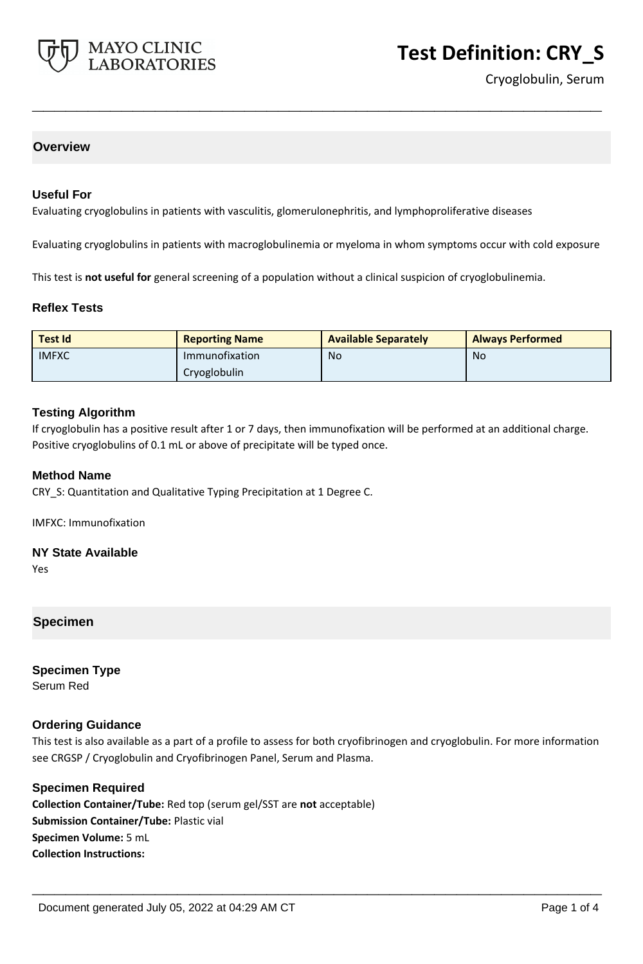

Cryoglobulin, Serum

## **Overview**

#### **Useful For**

Evaluating cryoglobulins in patients with vasculitis, glomerulonephritis, and lymphoproliferative diseases

Evaluating cryoglobulins in patients with macroglobulinemia or myeloma in whom symptoms occur with cold exposure

**\_\_\_\_\_\_\_\_\_\_\_\_\_\_\_\_\_\_\_\_\_\_\_\_\_\_\_\_\_\_\_\_\_\_\_\_\_\_\_\_\_\_\_\_\_\_\_\_\_\_\_**

This test is **not useful for** general screening of a population without a clinical suspicion of cryoglobulinemia.

#### **Reflex Tests**

| <b>Test Id</b> | <b>Reporting Name</b> | <b>Available Separately</b> | <b>Always Performed</b> |
|----------------|-----------------------|-----------------------------|-------------------------|
| <b>IMFXC</b>   | Immunofixation        | No.                         | No                      |
|                | Cryoglobulin          |                             |                         |

#### **Testing Algorithm**

If cryoglobulin has a positive result after 1 or 7 days, then immunofixation will be performed at an additional charge. Positive cryoglobulins of 0.1 mL or above of precipitate will be typed once.

#### **Method Name**

CRY\_S: Quantitation and Qualitative Typing Precipitation at 1 Degree C.

IMFXC: Immunofixation

**NY State Available**

Yes

## **Specimen**

**Specimen Type** Serum Red

#### **Ordering Guidance**

This test is also available as a part of a profile to assess for both cryofibrinogen and cryoglobulin. For more information see CRGSP / Cryoglobulin and Cryofibrinogen Panel, Serum and Plasma.

**\_\_\_\_\_\_\_\_\_\_\_\_\_\_\_\_\_\_\_\_\_\_\_\_\_\_\_\_\_\_\_\_\_\_\_\_\_\_\_\_\_\_\_\_\_\_\_\_\_\_\_**

#### **Specimen Required**

**Collection Container/Tube:** Red top (serum gel/SST are **not** acceptable) **Submission Container/Tube:** Plastic vial **Specimen Volume:** 5 mL **Collection Instructions:**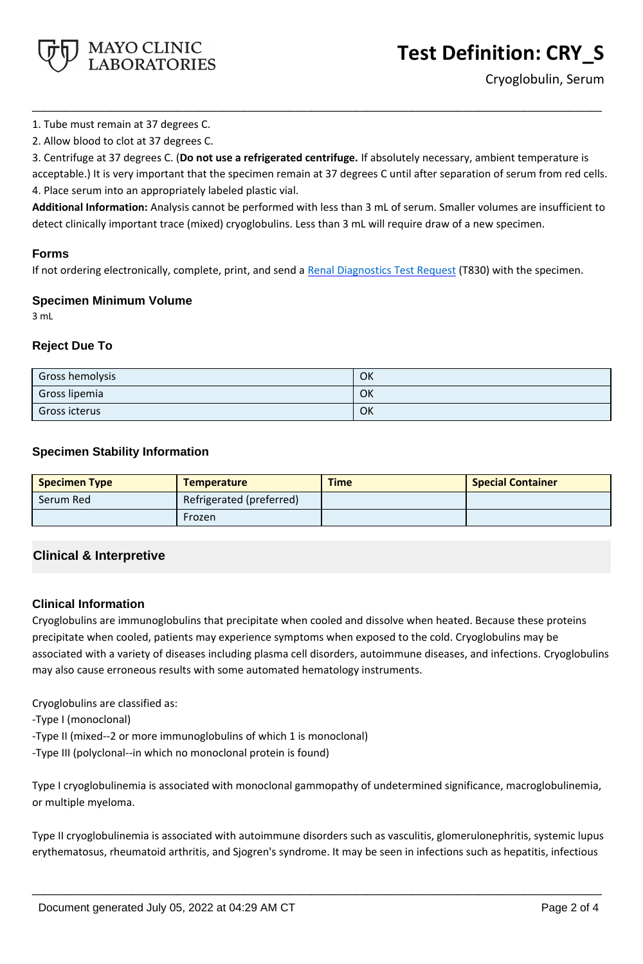

Cryoglobulin, Serum

1. Tube must remain at 37 degrees C.

2. Allow blood to clot at 37 degrees C.

3. Centrifuge at 37 degrees C. (**Do not use a refrigerated centrifuge.** If absolutely necessary, ambient temperature is acceptable.) It is very important that the specimen remain at 37 degrees C until after separation of serum from red cells. 4. Place serum into an appropriately labeled plastic vial.

**\_\_\_\_\_\_\_\_\_\_\_\_\_\_\_\_\_\_\_\_\_\_\_\_\_\_\_\_\_\_\_\_\_\_\_\_\_\_\_\_\_\_\_\_\_\_\_\_\_\_\_**

**Additional Information:** Analysis cannot be performed with less than 3 mL of serum. Smaller volumes are insufficient to detect clinically important trace (mixed) cryoglobulins. Less than 3 mL will require draw of a new specimen.

## **Forms**

If not ordering electronically, complete, print, and send a [Renal Diagnostics Test Request](https://www.mayocliniclabs.com/it-mmfiles/Renal-Diagnostics-Request-Form_MC0767-11.pdf) (T830) with the specimen.

## **Specimen Minimum Volume**

3 mL

# **Reject Due To**

| Gross hemolysis | OK |
|-----------------|----|
| Gross lipemia   | OK |
| Gross icterus   | OK |

# **Specimen Stability Information**

| <b>Specimen Type</b> | <b>Temperature</b>       | <b>Time</b> | <b>Special Container</b> |
|----------------------|--------------------------|-------------|--------------------------|
| Serum Red            | Refrigerated (preferred) |             |                          |
|                      | Frozen                   |             |                          |

# **Clinical & Interpretive**

## **Clinical Information**

Cryoglobulins are immunoglobulins that precipitate when cooled and dissolve when heated. Because these proteins precipitate when cooled, patients may experience symptoms when exposed to the cold. Cryoglobulins may be associated with a variety of diseases including plasma cell disorders, autoimmune diseases, and infections. Cryoglobulins may also cause erroneous results with some automated hematology instruments.

Cryoglobulins are classified as:

-Type I (monoclonal)

-Type II (mixed--2 or more immunoglobulins of which 1 is monoclonal)

-Type III (polyclonal--in which no monoclonal protein is found)

Type I cryoglobulinemia is associated with monoclonal gammopathy of undetermined significance, macroglobulinemia, or multiple myeloma.

Type II cryoglobulinemia is associated with autoimmune disorders such as vasculitis, glomerulonephritis, systemic lupus erythematosus, rheumatoid arthritis, and Sjogren's syndrome. It may be seen in infections such as hepatitis, infectious

**\_\_\_\_\_\_\_\_\_\_\_\_\_\_\_\_\_\_\_\_\_\_\_\_\_\_\_\_\_\_\_\_\_\_\_\_\_\_\_\_\_\_\_\_\_\_\_\_\_\_\_**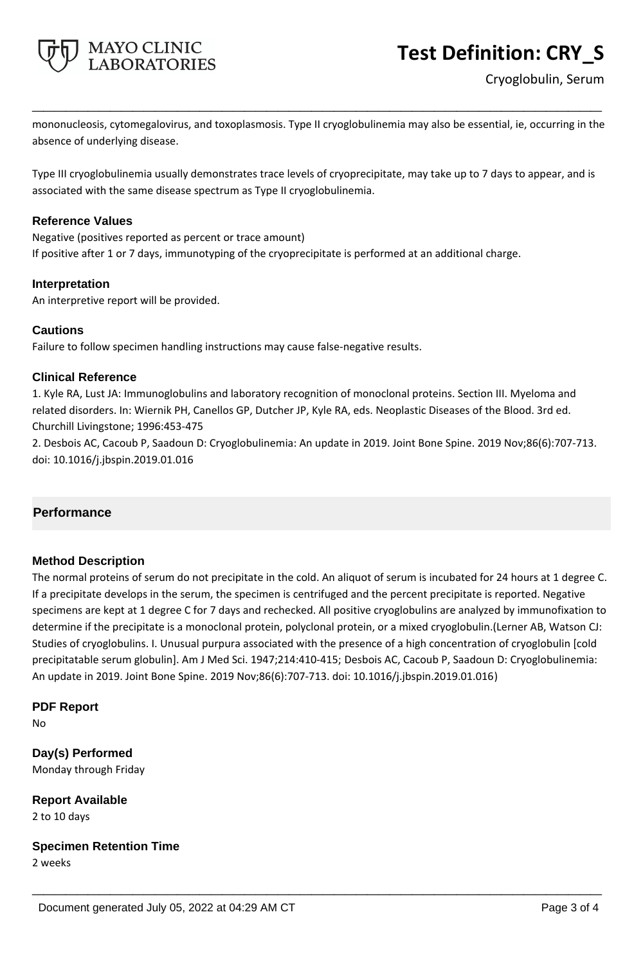

mononucleosis, cytomegalovirus, and toxoplasmosis. Type II cryoglobulinemia may also be essential, ie, occurring in the absence of underlying disease.

**\_\_\_\_\_\_\_\_\_\_\_\_\_\_\_\_\_\_\_\_\_\_\_\_\_\_\_\_\_\_\_\_\_\_\_\_\_\_\_\_\_\_\_\_\_\_\_\_\_\_\_**

Type III cryoglobulinemia usually demonstrates trace levels of cryoprecipitate, may take up to 7 days to appear, and is associated with the same disease spectrum as Type II cryoglobulinemia.

## **Reference Values**

Negative (positives reported as percent or trace amount) If positive after 1 or 7 days, immunotyping of the cryoprecipitate is performed at an additional charge.

## **Interpretation**

An interpretive report will be provided.

# **Cautions**

Failure to follow specimen handling instructions may cause false-negative results.

# **Clinical Reference**

1. Kyle RA, Lust JA: Immunoglobulins and laboratory recognition of monoclonal proteins. Section III. Myeloma and related disorders. In: Wiernik PH, Canellos GP, Dutcher JP, Kyle RA, eds. Neoplastic Diseases of the Blood. 3rd ed. Churchill Livingstone; 1996:453-475

2. Desbois AC, Cacoub P, Saadoun D: Cryoglobulinemia: An update in 2019. Joint Bone Spine. 2019 Nov;86(6):707-713. doi: 10.1016/j.jbspin.2019.01.016

# **Performance**

# **Method Description**

The normal proteins of serum do not precipitate in the cold. An aliquot of serum is incubated for 24 hours at 1 degree C. If a precipitate develops in the serum, the specimen is centrifuged and the percent precipitate is reported. Negative specimens are kept at 1 degree C for 7 days and rechecked. All positive cryoglobulins are analyzed by immunofixation to determine if the precipitate is a monoclonal protein, polyclonal protein, or a mixed cryoglobulin.(Lerner AB, Watson CJ: Studies of cryoglobulins. I. Unusual purpura associated with the presence of a high concentration of cryoglobulin [cold precipitatable serum globulin]. Am J Med Sci. 1947;214:410-415; Desbois AC, Cacoub P, Saadoun D: Cryoglobulinemia: An update in 2019. Joint Bone Spine. 2019 Nov;86(6):707-713. doi: 10.1016/j.jbspin.2019.01.016)

**\_\_\_\_\_\_\_\_\_\_\_\_\_\_\_\_\_\_\_\_\_\_\_\_\_\_\_\_\_\_\_\_\_\_\_\_\_\_\_\_\_\_\_\_\_\_\_\_\_\_\_**

# **PDF Report**

No

**Day(s) Performed** Monday through Friday

**Report Available** 2 to 10 days

**Specimen Retention Time**

2 weeks